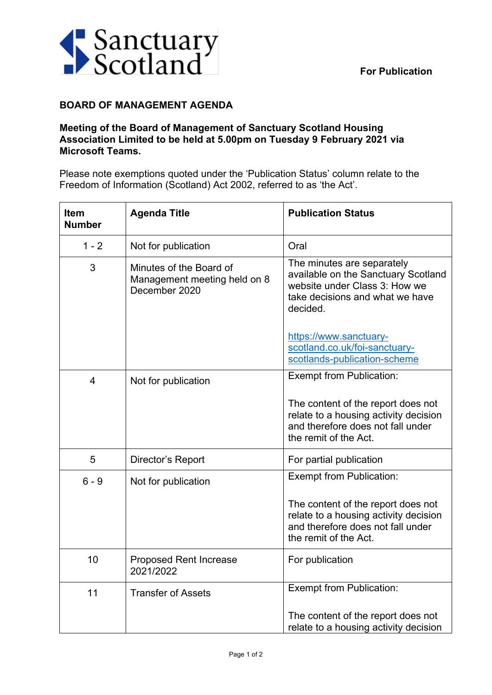

## **BOARD OF MANAGEMENT AGENDA**

## **Meeting of the Board of Management of Sanctuary Scotland Housing Association Limited to be held at 5.00pm on Tuesday 9 February 2021 via Microsoft Teams.**

Please note exemptions quoted under the 'Publication Status' column relate to the Freedom of Information (Scotland) Act 2002, referred to as 'the Act'.

| <b>Item</b><br><b>Number</b> | <b>Agenda Title</b>                                                      | <b>Publication Status</b>                                                                                                                         |
|------------------------------|--------------------------------------------------------------------------|---------------------------------------------------------------------------------------------------------------------------------------------------|
| $1 - 2$                      | Not for publication                                                      | Oral                                                                                                                                              |
| 3                            | Minutes of the Board of<br>Management meeting held on 8<br>December 2020 | The minutes are separately<br>available on the Sanctuary Scotland<br>website under Class 3: How we<br>take decisions and what we have<br>decided. |
|                              |                                                                          | https://www.sanctuary-<br>scotland.co.uk/foi-sanctuary-<br>scotlands-publication-scheme                                                           |
| 4                            | Not for publication                                                      | Exempt from Publication:                                                                                                                          |
|                              |                                                                          | The content of the report does not<br>relate to a housing activity decision<br>and therefore does not fall under<br>the remit of the Act.         |
| 5                            | Director's Report                                                        | For partial publication                                                                                                                           |
| $6 - 9$                      | Not for publication                                                      | <b>Exempt from Publication:</b>                                                                                                                   |
|                              |                                                                          | The content of the report does not<br>relate to a housing activity decision<br>and therefore does not fall under<br>the remit of the Act.         |
| 10                           | <b>Proposed Rent Increase</b><br>2021/2022                               | For publication                                                                                                                                   |
| 11                           | <b>Transfer of Assets</b>                                                | <b>Exempt from Publication:</b>                                                                                                                   |
|                              |                                                                          | The content of the report does not<br>relate to a housing activity decision                                                                       |